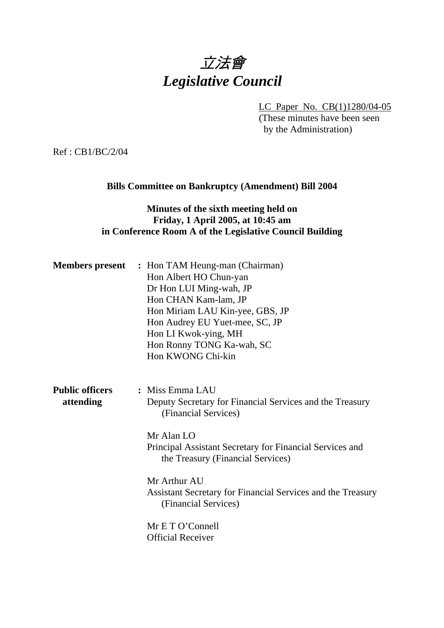# 立法會 *Legislative Council*

LC Paper No. CB(1)1280/04-05

(These minutes have been seen by the Administration)

Ref : CB1/BC/2/04

# **Bills Committee on Bankruptcy (Amendment) Bill 2004**

# **Minutes of the sixth meeting held on Friday, 1 April 2005, at 10:45 am in Conference Room A of the Legislative Council Building**

|                                     | <b>Members present</b> : Hon TAM Heung-man (Chairman)<br>Hon Albert HO Chun-yan<br>Dr Hon LUI Ming-wah, JP<br>Hon CHAN Kam-lam, JP<br>Hon Miriam LAU Kin-yee, GBS, JP<br>Hon Audrey EU Yuet-mee, SC, JP<br>Hon LI Kwok-ying, MH<br>Hon Ronny TONG Ka-wah, SC<br>Hon KWONG Chi-kin |
|-------------------------------------|-----------------------------------------------------------------------------------------------------------------------------------------------------------------------------------------------------------------------------------------------------------------------------------|
| <b>Public officers</b><br>attending | : Miss Emma LAU<br>Deputy Secretary for Financial Services and the Treasury<br>(Financial Services)<br>Mr Alan LO<br>Principal Assistant Secretary for Financial Services and<br>the Treasury (Financial Services)                                                                |
|                                     | Mr Arthur AU<br>Assistant Secretary for Financial Services and the Treasury<br>(Financial Services)<br>Mr E T O'Connell<br><b>Official Receiver</b>                                                                                                                               |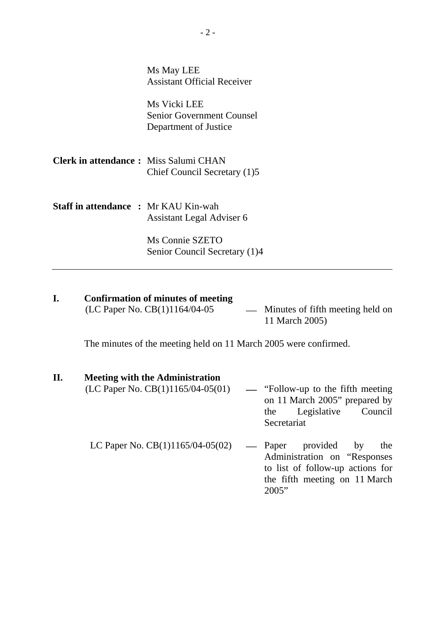| Ms May LEE                                                                |
|---------------------------------------------------------------------------|
| <b>Assistant Official Receiver</b>                                        |
| Ms Vicki LEE<br><b>Senior Government Counsel</b><br>Department of Justice |
|                                                                           |
| <b>Clerk in attendance:</b> Miss Salumi CHAN                              |
| Chief Council Secretary (1)5                                              |
| <b>Staff in attendance : Mr KAU Kin-wah</b>                               |
| Assistant Legal Adviser 6                                                 |
| Ms Connie SZETO                                                           |
| Senior Council Secretary (1)4                                             |
|                                                                           |

# **I.** Confirmation of minutes of meeting (LC Paper No. CB(1)1164/04-05

- Minutes of fifth meeting held on 11 March 2005)

The minutes of the meeting held on 11 March 2005 were confirmed.

#### **II. Meeting with the Administration**

- (LC Paper No. CB(1)1165/04-05(01)  $-$  "Follow-up to the fifth meeting on 11 March 2005" prepared by the Legislative Council Secretariat LC Paper No.  $CB(1)1165/04-05(02)$  — Paper provided by the
	- Administration on "Responses to list of follow-up actions for the fifth meeting on 11 March 2005"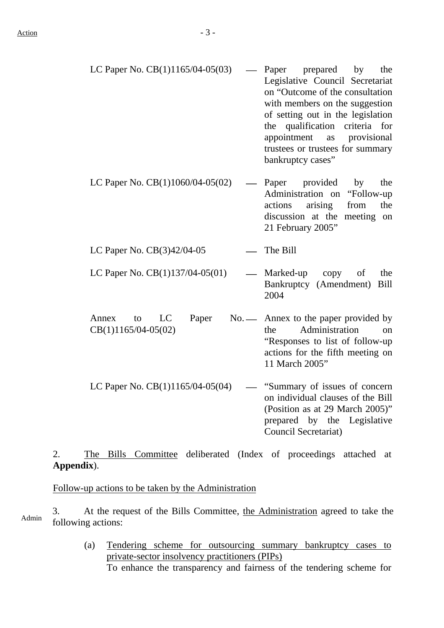- LC Paper No.  $CB(1)1165/04-05(03)$  Paper prepared by the Legislative Council Secretariat on "Outcome of the consultation with members on the suggestion of setting out in the legislation the qualification criteria for appointment as provisional trustees or trustees for summary bankruptcy cases"
- LC Paper No.  $CB(1)1060/04-05(02)$  Paper provided by the Administration on "Follow-up actions arising from the discussion at the meeting on 21 February 2005"
- LC Paper No. CB(3)42/04-05 ⎯ The Bill
- LC Paper No.  $CB(1)137/04-05(01)$  Marked-up copy of the Bankruptcy (Amendment) Bill 2004
- Annex to LC Paper CB(1)1165/04-05(02) No. — Annex to the paper provided by the Administration on "Responses to list of follow-up actions for the fifth meeting on 11 March 2005"
- LC Paper No.  $CB(1)1165/04-05(04)$  "Summary of issues of concern on individual clauses of the Bill (Position as at 29 March 2005)" prepared by the Legislative Council Secretariat)

# 2. The Bills Committee deliberated (Index of proceedings attached at **Appendix**).

Follow-up actions to be taken by the Administration

3. At the request of the Bills Committee, the Administration agreed to take the following actions:

> (a) Tendering scheme for outsourcing summary bankruptcy cases to private-sector insolvency practitioners (PIPs)

To enhance the transparency and fairness of the tendering scheme for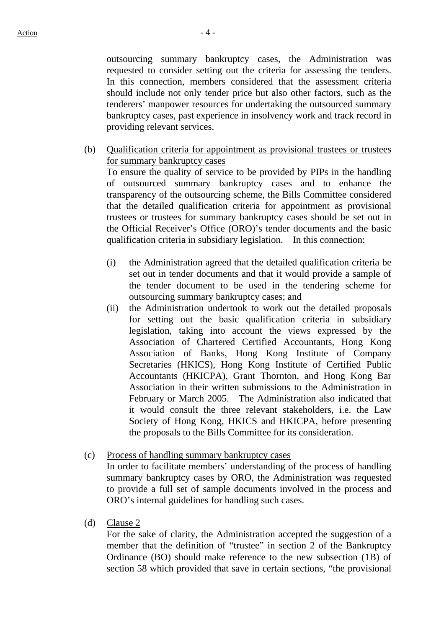outsourcing summary bankruptcy cases, the Administration was requested to consider setting out the criteria for assessing the tenders. In this connection, members considered that the assessment criteria should include not only tender price but also other factors, such as the tenderers' manpower resources for undertaking the outsourced summary bankruptcy cases, past experience in insolvency work and track record in providing relevant services.

(b) Qualification criteria for appointment as provisional trustees or trustees for summary bankruptcy cases

To ensure the quality of service to be provided by PIPs in the handling of outsourced summary bankruptcy cases and to enhance the transparency of the outsourcing scheme, the Bills Committee considered that the detailed qualification criteria for appointment as provisional trustees or trustees for summary bankruptcy cases should be set out in the Official Receiver's Office (ORO)'s tender documents and the basic qualification criteria in subsidiary legislation. In this connection:

- (i) the Administration agreed that the detailed qualification criteria be set out in tender documents and that it would provide a sample of the tender document to be used in the tendering scheme for outsourcing summary bankruptcy cases; and
- (ii) the Administration undertook to work out the detailed proposals for setting out the basic qualification criteria in subsidiary legislation, taking into account the views expressed by the Association of Chartered Certified Accountants, Hong Kong Association of Banks, Hong Kong Institute of Company Secretaries (HKICS), Hong Kong Institute of Certified Public Accountants (HKICPA), Grant Thornton, and Hong Kong Bar Association in their written submissions to the Administration in February or March 2005. The Administration also indicated that it would consult the three relevant stakeholders, i.e. the Law Society of Hong Kong, HKICS and HKICPA, before presenting the proposals to the Bills Committee for its consideration.
- (c) Process of handling summary bankruptcy cases In order to facilitate members' understanding of the process of handling summary bankruptcy cases by ORO, the Administration was requested to provide a full set of sample documents involved in the process and ORO's internal guidelines for handling such cases.
- (d) Clause 2

For the sake of clarity, the Administration accepted the suggestion of a member that the definition of "trustee" in section 2 of the Bankruptcy Ordinance (BO) should make reference to the new subsection (1B) of section 58 which provided that save in certain sections, "the provisional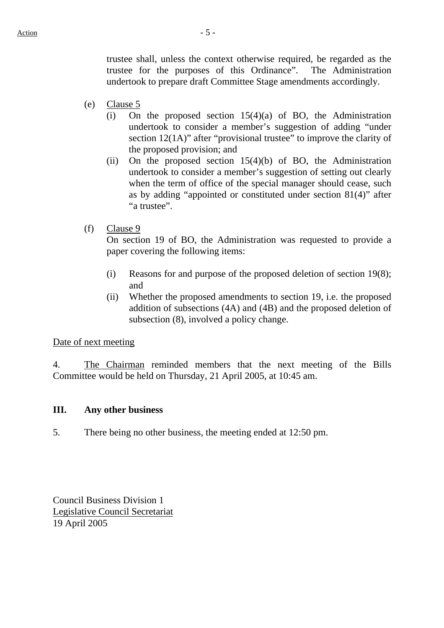trustee shall, unless the context otherwise required, be regarded as the trustee for the purposes of this Ordinance". The Administration undertook to prepare draft Committee Stage amendments accordingly.

- (e) Clause 5
	- (i) On the proposed section  $15(4)(a)$  of BO, the Administration undertook to consider a member's suggestion of adding "under section 12(1A)" after "provisional trustee" to improve the clarity of the proposed provision; and
	- (ii) On the proposed section  $15(4)(b)$  of BO, the Administration undertook to consider a member's suggestion of setting out clearly when the term of office of the special manager should cease, such as by adding "appointed or constituted under section 81(4)" after "a trustee".
- (f) Clause 9

On section 19 of BO, the Administration was requested to provide a paper covering the following items:

- (i) Reasons for and purpose of the proposed deletion of section 19(8); and
- (ii) Whether the proposed amendments to section 19, i.e. the proposed addition of subsections (4A) and (4B) and the proposed deletion of subsection (8), involved a policy change.

#### Date of next meeting

4. The Chairman reminded members that the next meeting of the Bills Committee would be held on Thursday, 21 April 2005, at 10:45 am.

# **III. Any other business**

5. There being no other business, the meeting ended at 12:50 pm.

Council Business Division 1 Legislative Council Secretariat 19 April 2005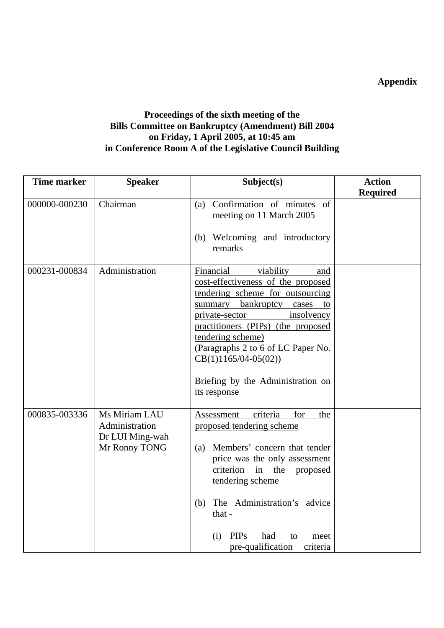**Appendix** 

# **Proceedings of the sixth meeting of the Bills Committee on Bankruptcy (Amendment) Bill 2004 on Friday, 1 April 2005, at 10:45 am in Conference Room A of the Legislative Council Building**

| <b>Time marker</b> | <b>Speaker</b>                                                      | Subject(s)                                                                                                                                                                                                                                                                                                                                                | <b>Action</b>   |
|--------------------|---------------------------------------------------------------------|-----------------------------------------------------------------------------------------------------------------------------------------------------------------------------------------------------------------------------------------------------------------------------------------------------------------------------------------------------------|-----------------|
|                    |                                                                     |                                                                                                                                                                                                                                                                                                                                                           | <b>Required</b> |
| 000000-000230      | Chairman                                                            | (a) Confirmation of minutes of<br>meeting on 11 March 2005<br>(b) Welcoming and introductory<br>remarks                                                                                                                                                                                                                                                   |                 |
| 000231-000834      | Administration                                                      | Financial<br>viability<br>and<br>cost-effectiveness of the proposed<br>tendering scheme for outsourcing<br>summary bankruptcy cases<br>to<br>private-sector<br>insolvency<br>practitioners (PIPs) (the proposed<br>tendering scheme)<br>(Paragraphs 2 to 6 of LC Paper No.<br>$CB(1)1165/04-05(02))$<br>Briefing by the Administration on<br>its response |                 |
| 000835-003336      | Ms Miriam LAU<br>Administration<br>Dr LUI Ming-wah<br>Mr Ronny TONG | for<br>Assessment<br>criteria<br>the<br>proposed tendering scheme<br>(a) Members' concern that tender<br>price was the only assessment<br>criterion<br>the<br>in<br>proposed<br>tendering scheme<br>The Administration's advice<br>(b)<br>that -<br><b>PIPs</b><br>had<br>(i)<br>to<br>meet<br>pre-qualification<br>criteria                              |                 |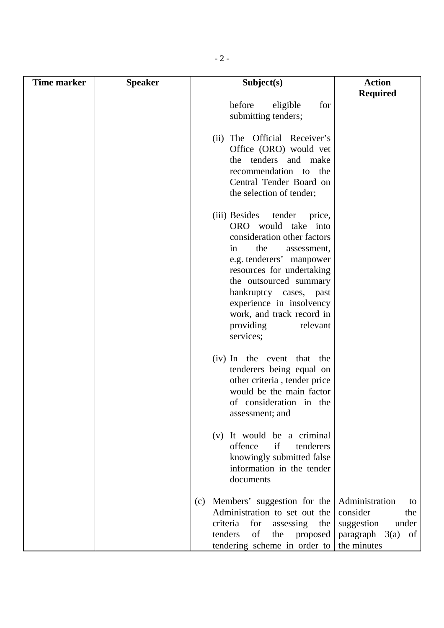| <b>Time marker</b> | <b>Speaker</b> | Subject(s)                                                                                                                                                                                                                                                                                                                      | <b>Action</b>                                                                                           |
|--------------------|----------------|---------------------------------------------------------------------------------------------------------------------------------------------------------------------------------------------------------------------------------------------------------------------------------------------------------------------------------|---------------------------------------------------------------------------------------------------------|
|                    |                |                                                                                                                                                                                                                                                                                                                                 | <b>Required</b>                                                                                         |
|                    |                | before<br>eligible<br>for<br>submitting tenders;                                                                                                                                                                                                                                                                                |                                                                                                         |
|                    |                | (ii) The Official Receiver's<br>Office (ORO) would vet<br>the tenders and make<br>recommendation to the<br>Central Tender Board on<br>the selection of tender;                                                                                                                                                                  |                                                                                                         |
|                    |                | (iii) Besides<br>tender<br>price,<br>ORO would take into<br>consideration other factors<br>the<br>in<br>assessment,<br>e.g. tenderers' manpower<br>resources for undertaking<br>the outsourced summary<br>bankruptcy cases, past<br>experience in insolvency<br>work, and track record in<br>relevant<br>providing<br>services; |                                                                                                         |
|                    |                | (iv) In the event that the<br>tenderers being equal on<br>other criteria, tender price<br>would be the main factor<br>of consideration in the<br>assessment; and                                                                                                                                                                |                                                                                                         |
|                    |                | (v) It would be a criminal<br>if<br>offence<br>tenderers<br>knowingly submitted false<br>information in the tender<br>documents                                                                                                                                                                                                 |                                                                                                         |
|                    |                | (c) Members' suggestion for the<br>Administration to set out the<br>criteria<br>for<br>assessing<br>the<br>tenders<br>of<br>the<br>proposed<br>tendering scheme in order to                                                                                                                                                     | Administration<br>to<br>consider<br>the<br>suggestion<br>under<br>paragraph $3(a)$<br>of<br>the minutes |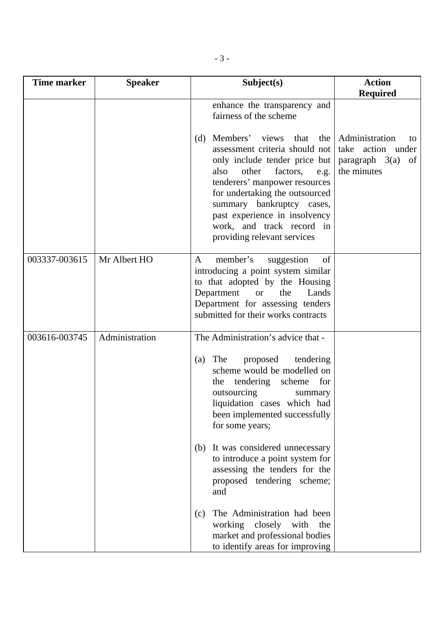| <b>Time marker</b> | <b>Speaker</b> | Subject(s)                                                                                                                                                                                                                                                                                                                                                                                                                                  | <b>Action</b><br><b>Required</b>                                                   |
|--------------------|----------------|---------------------------------------------------------------------------------------------------------------------------------------------------------------------------------------------------------------------------------------------------------------------------------------------------------------------------------------------------------------------------------------------------------------------------------------------|------------------------------------------------------------------------------------|
|                    |                | enhance the transparency and<br>fairness of the scheme                                                                                                                                                                                                                                                                                                                                                                                      |                                                                                    |
|                    |                | Members' views<br>that<br>the  <br>(d)<br>assessment criteria should not<br>only include tender price but<br>other<br>factors,<br>also<br>e.g.<br>tenderers' manpower resources<br>for undertaking the outsourced<br>summary bankruptcy cases,<br>past experience in insolvency<br>work, and track record in<br>providing relevant services                                                                                                 | Administration<br>to<br>take action under<br>paragraph $3(a)$<br>of<br>the minutes |
| 003337-003615      | Mr Albert HO   | member's<br>suggestion<br>of<br>A<br>introducing a point system similar<br>to that adopted by the Housing<br>Department<br>the<br>Lands<br><sub>or</sub><br>Department for assessing tenders<br>submitted for their works contracts                                                                                                                                                                                                         |                                                                                    |
| 003616-003745      | Administration | The Administration's advice that -<br>proposed<br>The<br>tendering<br>(a)<br>scheme would be modelled on<br>tendering scheme<br>for<br>the<br>outsourcing<br>summary<br>liquidation cases which had<br>been implemented successfully<br>for some years;<br>(b) It was considered unnecessary<br>to introduce a point system for<br>assessing the tenders for the<br>proposed tendering scheme;<br>and<br>The Administration had been<br>(c) |                                                                                    |
|                    |                | working closely with<br>the<br>market and professional bodies<br>to identify areas for improving                                                                                                                                                                                                                                                                                                                                            |                                                                                    |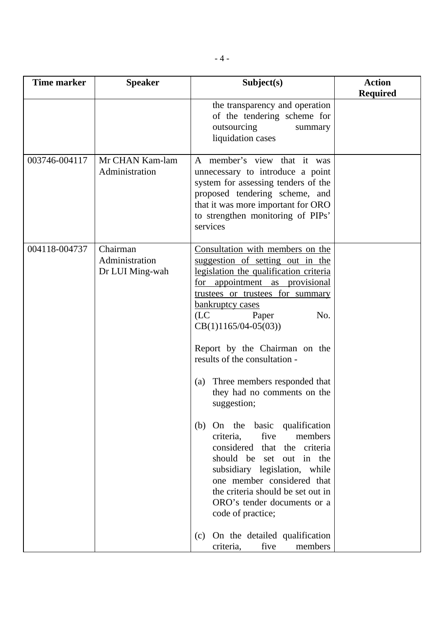| <b>Time marker</b> | <b>Speaker</b>                                | Subject(s)                                                                                                                                                                                                                                                                                                                                                                                                                                                                                                                                                                                                                                                                                                                                                                      | <b>Action</b><br><b>Required</b> |
|--------------------|-----------------------------------------------|---------------------------------------------------------------------------------------------------------------------------------------------------------------------------------------------------------------------------------------------------------------------------------------------------------------------------------------------------------------------------------------------------------------------------------------------------------------------------------------------------------------------------------------------------------------------------------------------------------------------------------------------------------------------------------------------------------------------------------------------------------------------------------|----------------------------------|
|                    |                                               | the transparency and operation<br>of the tendering scheme for<br>outsourcing<br>summary<br>liquidation cases                                                                                                                                                                                                                                                                                                                                                                                                                                                                                                                                                                                                                                                                    |                                  |
| 003746-004117      | Mr CHAN Kam-lam<br>Administration             | A member's view that it was<br>unnecessary to introduce a point<br>system for assessing tenders of the<br>proposed tendering scheme, and<br>that it was more important for ORO<br>to strengthen monitoring of PIPs'<br>services                                                                                                                                                                                                                                                                                                                                                                                                                                                                                                                                                 |                                  |
| 004118-004737      | Chairman<br>Administration<br>Dr LUI Ming-wah | Consultation with members on the<br>suggestion of setting out in the<br>legislation the qualification criteria<br>for appointment as provisional<br>trustees or trustees for summary<br>bankruptcy cases<br>(LC)<br>Paper<br>No.<br>$CB(1)1165/04-05(03))$<br>Report by the Chairman on the<br>results of the consultation -<br>Three members responded that<br>(a)<br>they had no comments on the<br>suggestion;<br>(b) On the basic qualification<br>five<br>members<br>criteria,<br>considered<br>that the criteria<br>should be set out in the<br>subsidiary legislation, while<br>one member considered that<br>the criteria should be set out in<br>ORO's tender documents or a<br>code of practice;<br>(c) On the detailed qualification<br>five<br>members<br>criteria, |                                  |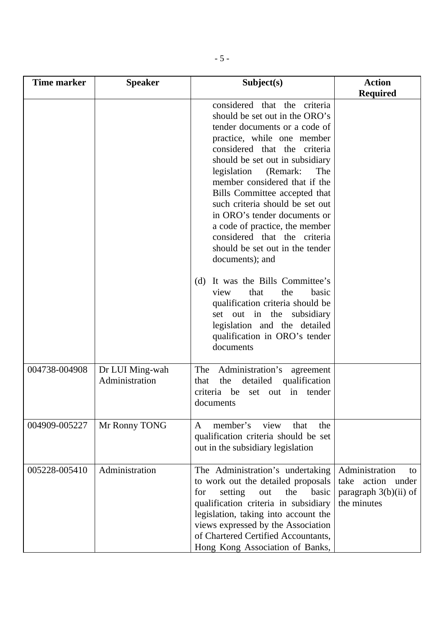| <b>Time marker</b> | <b>Speaker</b>                    | Subject(s)                                                                                                                                                                                                                                                                                                                     | <b>Action</b>                                                                          |
|--------------------|-----------------------------------|--------------------------------------------------------------------------------------------------------------------------------------------------------------------------------------------------------------------------------------------------------------------------------------------------------------------------------|----------------------------------------------------------------------------------------|
|                    |                                   | considered that the criteria<br>should be set out in the ORO's<br>tender documents or a code of<br>practice, while one member<br>considered that the criteria                                                                                                                                                                  | <b>Required</b>                                                                        |
|                    |                                   | should be set out in subsidiary<br>legislation<br>(Remark:<br>The<br>member considered that if the<br>Bills Committee accepted that<br>such criteria should be set out<br>in ORO's tender documents or<br>a code of practice, the member<br>considered that the criteria<br>should be set out in the tender<br>documents); and |                                                                                        |
|                    |                                   | It was the Bills Committee's<br>(d)<br>that<br>the<br>view<br>basic<br>qualification criteria should be<br>set out in the subsidiary<br>legislation and the detailed<br>qualification in ORO's tender<br>documents                                                                                                             |                                                                                        |
| 004738-004908      | Dr LUI Ming-wah<br>Administration | The<br>Administration's<br>agreement<br>the<br>qualification<br>detailed<br>that<br>criteria be<br>set out in tender<br>documents                                                                                                                                                                                              |                                                                                        |
| 004909-005227      | Mr Ronny TONG                     | member's<br>view<br>that<br>the<br>A<br>qualification criteria should be set<br>out in the subsidiary legislation                                                                                                                                                                                                              |                                                                                        |
| 005228-005410      | Administration                    | The Administration's undertaking<br>to work out the detailed proposals<br>setting<br>the<br>basic<br>for<br>out<br>qualification criteria in subsidiary<br>legislation, taking into account the<br>views expressed by the Association<br>of Chartered Certified Accountants,<br>Hong Kong Association of Banks,                | Administration<br>to<br>action under<br>take<br>paragraph $3(b)(ii)$ of<br>the minutes |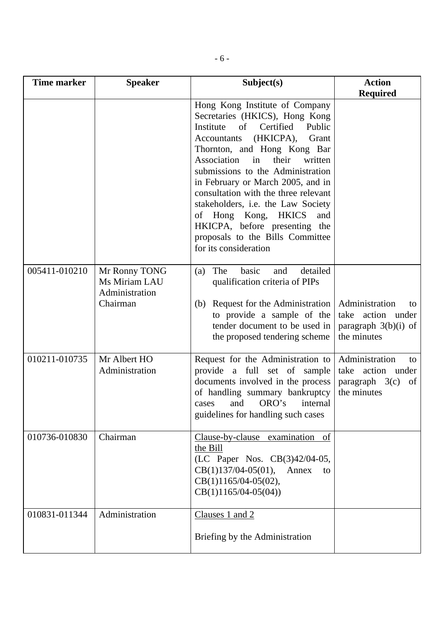| <b>Time marker</b> | <b>Speaker</b>                                               | Subject(s)                                                                                                                                                                                                                                                                                                                                                                                                                                                                                                  | <b>Action</b>                                                                               |
|--------------------|--------------------------------------------------------------|-------------------------------------------------------------------------------------------------------------------------------------------------------------------------------------------------------------------------------------------------------------------------------------------------------------------------------------------------------------------------------------------------------------------------------------------------------------------------------------------------------------|---------------------------------------------------------------------------------------------|
|                    |                                                              | Hong Kong Institute of Company<br>Secretaries (HKICS), Hong Kong<br>Institute<br>of<br>Certified<br>Public<br>(HKICPA),<br>Grant<br>Accountants<br>Thornton, and Hong Kong Bar<br>Association<br>in<br>their<br>written<br>submissions to the Administration<br>in February or March 2005, and in<br>consultation with the three relevant<br>stakeholders, i.e. the Law Society<br>of Hong Kong, HKICS<br>and<br>HKICPA, before presenting the<br>proposals to the Bills Committee<br>for its consideration | <b>Required</b>                                                                             |
| 005411-010210      | Mr Ronny TONG<br>Ms Miriam LAU<br>Administration<br>Chairman | The<br>basic<br>detailed<br>(a)<br>and<br>qualification criteria of PIPs<br>Request for the Administration<br>(b)<br>to provide a sample of the<br>tender document to be used in<br>the proposed tendering scheme                                                                                                                                                                                                                                                                                           | Administration<br>to<br>take action under<br>paragraph $3(b)(i)$ of<br>the minutes          |
| 010211-010735      | Mr Albert HO<br>Administration                               | Request for the Administration to<br>provide a full set of sample<br>documents involved in the process<br>of handling summary bankruptcy<br>ORO's<br>and<br>internal<br>cases<br>guidelines for handling such cases                                                                                                                                                                                                                                                                                         | Administration<br>to<br>take<br>action under<br>$paragraph \quad 3(c)$<br>of<br>the minutes |
| 010736-010830      | Chairman                                                     | Clause-by-clause examination of<br>the Bill<br>(LC Paper Nos. CB(3)42/04-05,<br>$CB(1)137/04-05(01),$<br>Annex<br>to<br>$CB(1)1165/04-05(02)$ ,<br>$CB(1)1165/04-05(04))$                                                                                                                                                                                                                                                                                                                                   |                                                                                             |
| 010831-011344      | Administration                                               | Clauses 1 and 2<br>Briefing by the Administration                                                                                                                                                                                                                                                                                                                                                                                                                                                           |                                                                                             |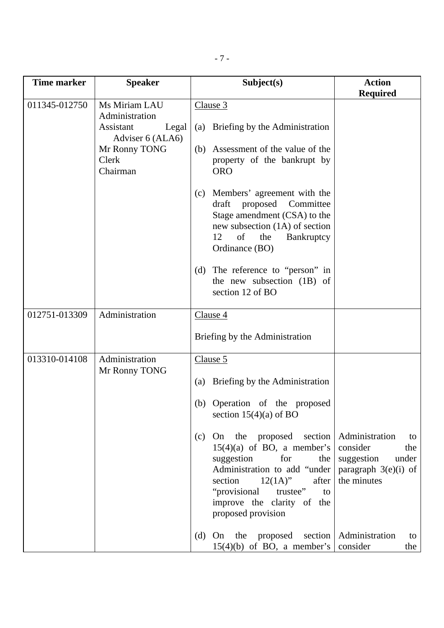| <b>Time marker</b> | <b>Speaker</b>                                                | Subject(s)                                                                                                                                                                                                                                | <b>Action</b><br><b>Required</b>                                                         |
|--------------------|---------------------------------------------------------------|-------------------------------------------------------------------------------------------------------------------------------------------------------------------------------------------------------------------------------------------|------------------------------------------------------------------------------------------|
| 011345-012750      | Ms Miriam LAU<br>Administration<br>Assistant<br>Legal         | Clause 3<br>(a) Briefing by the Administration                                                                                                                                                                                            |                                                                                          |
|                    | Adviser 6 (ALA6)<br>Mr Ronny TONG<br><b>Clerk</b><br>Chairman | (b) Assessment of the value of the<br>property of the bankrupt by<br><b>ORO</b>                                                                                                                                                           |                                                                                          |
|                    |                                                               | Members' agreement with the<br>(c)<br>draft proposed<br>Committee<br>Stage amendment (CSA) to the<br>new subsection (1A) of section<br>12<br>of<br>Bankruptcy<br>the<br>Ordinance (BO)                                                    |                                                                                          |
|                    |                                                               | (d) The reference to "person" in<br>the new subsection (1B) of<br>section 12 of BO                                                                                                                                                        |                                                                                          |
| 012751-013309      | Administration                                                | Clause 4<br>Briefing by the Administration                                                                                                                                                                                                |                                                                                          |
| 013310-014108      | Administration<br>Mr Ronny TONG                               | Clause 5<br>(a) Briefing by the Administration<br>(b) Operation of the proposed<br>section $15(4)(a)$ of BO<br>On the proposed section<br>(c)<br>$15(4)(a)$ of BO, a member's<br>suggestion<br>for<br>the<br>Administration to add "under | Administration<br>to<br>consider<br>the<br>suggestion<br>under<br>paragraph $3(e)(i)$ of |
|                    |                                                               | section<br>$12(1A)$ "<br>after<br>"provisional<br>trustee"<br>to<br>improve the clarity of the<br>proposed provision<br>(d) On the proposed<br>$15(4)(b)$ of BO, a member's                                                               | the minutes<br>section   Administration<br>to<br>consider<br>the                         |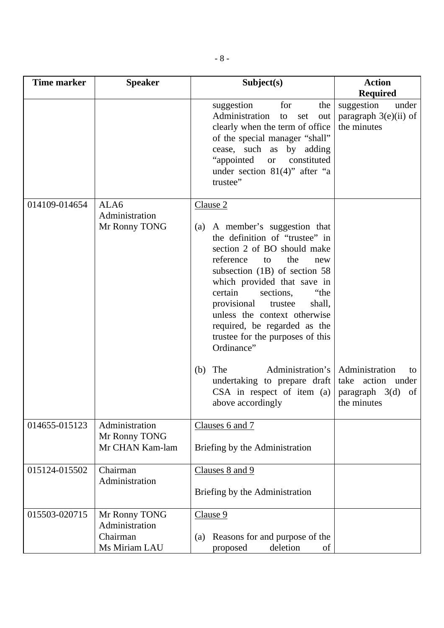| <b>Time marker</b> | <b>Speaker</b>                                               | Subject(s)                                                                                                                                                                                                                                                                                                                                                                               | <b>Action</b>                                                                      |
|--------------------|--------------------------------------------------------------|------------------------------------------------------------------------------------------------------------------------------------------------------------------------------------------------------------------------------------------------------------------------------------------------------------------------------------------------------------------------------------------|------------------------------------------------------------------------------------|
|                    |                                                              |                                                                                                                                                                                                                                                                                                                                                                                          | <b>Required</b>                                                                    |
|                    |                                                              | suggestion<br>for<br>the<br>Administration<br>set<br>to<br>out<br>clearly when the term of office<br>of the special manager "shall"<br>cease, such as by adding<br>"appointed"<br>constituted<br>or or<br>under section $81(4)$ " after "a<br>trustee"                                                                                                                                   | suggestion<br>under<br>paragraph $3(e)(ii)$ of<br>the minutes                      |
| 014109-014654      | ALA6                                                         | Clause 2                                                                                                                                                                                                                                                                                                                                                                                 |                                                                                    |
|                    | Administration<br>Mr Ronny TONG                              | (a) A member's suggestion that<br>the definition of "trustee" in<br>section 2 of BO should make<br>reference<br>the<br>to<br>new<br>subsection $(1B)$ of section 58<br>which provided that save in<br>certain<br>sections,<br>"the<br>provisional<br>shall,<br>trustee<br>unless the context otherwise<br>required, be regarded as the<br>trustee for the purposes of this<br>Ordinance" |                                                                                    |
|                    |                                                              | Administration's<br>The<br>(b)<br>undertaking to prepare draft<br>$CSA$ in respect of item (a)<br>above accordingly                                                                                                                                                                                                                                                                      | Administration<br>to<br>take action under<br>paragraph $3(d)$<br>of<br>the minutes |
| 014655-015123      | Administration<br>Mr Ronny TONG<br>Mr CHAN Kam-lam           | Clauses 6 and 7<br>Briefing by the Administration                                                                                                                                                                                                                                                                                                                                        |                                                                                    |
| 015124-015502      | Chairman<br>Administration                                   | Clauses 8 and 9<br>Briefing by the Administration                                                                                                                                                                                                                                                                                                                                        |                                                                                    |
| 015503-020715      | Mr Ronny TONG<br>Administration<br>Chairman<br>Ms Miriam LAU | Clause 9<br>Reasons for and purpose of the<br>(a)<br>deletion<br>proposed<br>of                                                                                                                                                                                                                                                                                                          |                                                                                    |